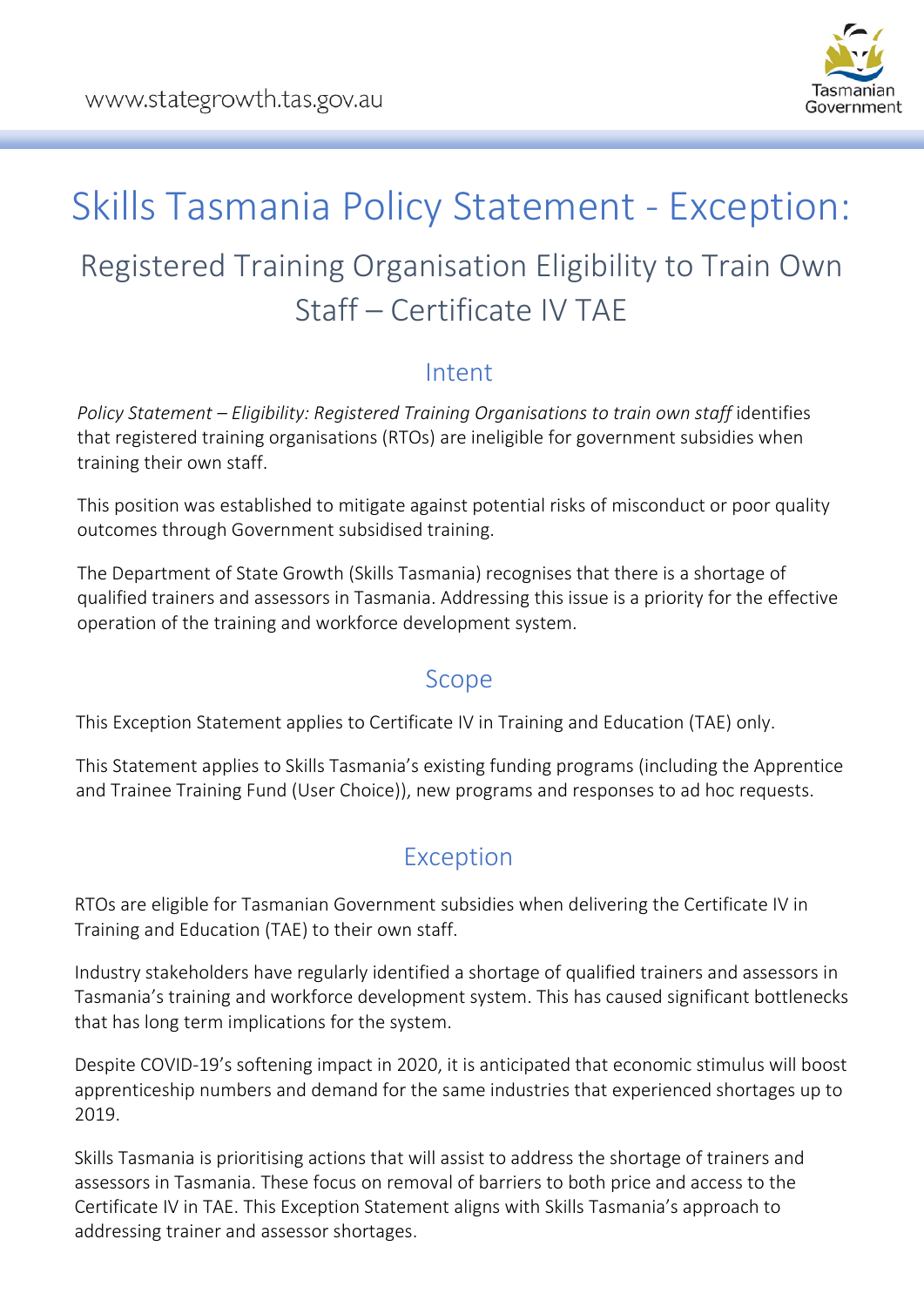

# Skills Tasmania Policy Statement - Exception: Registered Training Organisation Eligibility to Train Own Staff – Certificate IV TAE

#### Intent

*Policy Statement – Eligibility: Registered Training Organisations to train own staff* identifies that registered training organisations (RTOs) are ineligible for government subsidies when training their own staff.

This position was established to mitigate against potential risks of misconduct or poor quality outcomes through Government subsidised training.

The Department of State Growth (Skills Tasmania) recognises that there is a shortage of qualified trainers and assessors in Tasmania. Addressing this issue is a priority for the effective operation of the training and workforce development system.

#### Scope

This Exception Statement applies to Certificate IV in Training and Education (TAE) only.

This Statement applies to Skills Tasmania's existing funding programs (including the Apprentice and Trainee Training Fund (User Choice)), new programs and responses to ad hoc requests.

## Exception

RTOs are eligible for Tasmanian Government subsidies when delivering the Certificate IV in Training and Education (TAE) to their own staff.

Industry stakeholders have regularly identified a shortage of qualified trainers and assessors in Tasmania's training and workforce development system. This has caused significant bottlenecks that has long term implications for the system.

Despite COVID-19's softening impact in 2020, it is anticipated that economic stimulus will boost apprenticeship numbers and demand for the same industries that experienced shortages up to 2019.

Skills Tasmania is prioritising actions that will assist to address the shortage of trainers and assessors in Tasmania. These focus on removal of barriers to both price and access to the Certificate IV in TAE. This Exception Statement aligns with Skills Tasmania's approach to addressing trainer and assessor shortages.